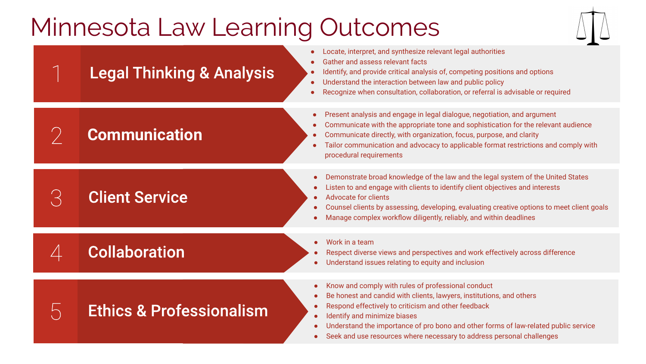## Minnesota Law Learning Outcomes



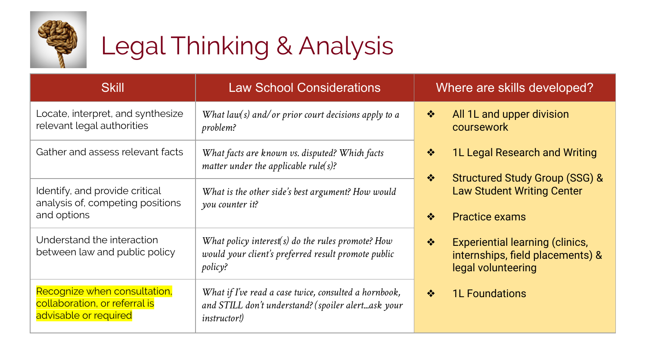

# Legal Thinking & Analysis

| <b>Skill</b>                                                                           | <b>Law School Considerations</b>                                                                                                   | Where are skills developed?                                                                                       |
|----------------------------------------------------------------------------------------|------------------------------------------------------------------------------------------------------------------------------------|-------------------------------------------------------------------------------------------------------------------|
| Locate, interpret, and synthesize<br>relevant legal authorities                        | What $law(s)$ and/or prior court decisions apply to a<br>problem?                                                                  | All 1L and upper division<br>❖<br>coursework                                                                      |
| Gather and assess relevant facts                                                       | What facts are known vs. disputed? Which facts<br>matter under the applicable rule( $s$ )?                                         | 1L Legal Research and Writing<br>❖                                                                                |
| Identify, and provide critical<br>analysis of, competing positions<br>and options      | What is the other side's best argument? How would<br>you counter it?                                                               | <b>Structured Study Group (SSG) &amp;</b><br>参<br><b>Law Student Writing Center</b><br><b>Practice exams</b><br>泰 |
| Understand the interaction<br>between law and public policy                            | What policy interest(s) do the rules promote? How<br>would your client's preferred result promote public<br>policy?                | <b>Experiential learning (clinics,</b><br>参<br>internships, field placements) &<br>legal volunteering             |
| Recognize when consultation,<br>collaboration, or referral is<br>advisable or required | What if I've read a case twice, consulted a hornbook,<br>and STILL don't understand? (spoiler alertask your<br><i>instructor!)</i> | <b>1L Foundations</b><br>参                                                                                        |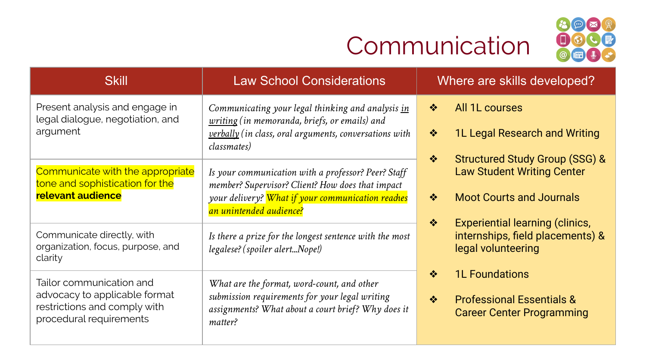## Communication



| <b>Skill</b>                                                                                                         | <b>Law School Considerations</b>                                                                                                                                                        | Where are skills developed?                                                                                             |
|----------------------------------------------------------------------------------------------------------------------|-----------------------------------------------------------------------------------------------------------------------------------------------------------------------------------------|-------------------------------------------------------------------------------------------------------------------------|
| Present analysis and engage in<br>legal dialogue, negotiation, and<br>argument                                       | Communicating your legal thinking and analysis in<br>writing (in memoranda, briefs, or emails) and<br>verbally (in class, oral arguments, conversations with<br>classmates)             | All 1L courses<br>参<br>1L Legal Research and Writing<br>$\frac{1}{2}$<br>❖                                              |
| Communicate with the appropriate<br>tone and sophistication for the<br>relevant audience                             | Is your communication with a professor? Peer? Staff<br>member? Supervisor? Client? How does that impact<br>your delivery? What if your communication reaches<br>an unintended audience? | <b>Structured Study Group (SSG) &amp;</b><br><b>Law Student Writing Center</b><br><b>Moot Courts and Journals</b><br>❖  |
| Communicate directly, with<br>organization, focus, purpose, and<br>clarity                                           | Is there a prize for the longest sentence with the most<br>legalese? (spoiler alertNope!)                                                                                               | <b>Experiential learning (clinics,</b><br>❖<br>internships, field placements) &<br>legal volunteering                   |
| Tailor communication and<br>advocacy to applicable format<br>restrictions and comply with<br>procedural requirements | What are the format, word-count, and other<br>submission requirements for your legal writing<br>assignments? What about a court brief? Why does it<br>matter?                           | <b>1L Foundations</b><br>❖<br>$\frac{1}{2}$<br><b>Professional Essentials &amp;</b><br><b>Career Center Programming</b> |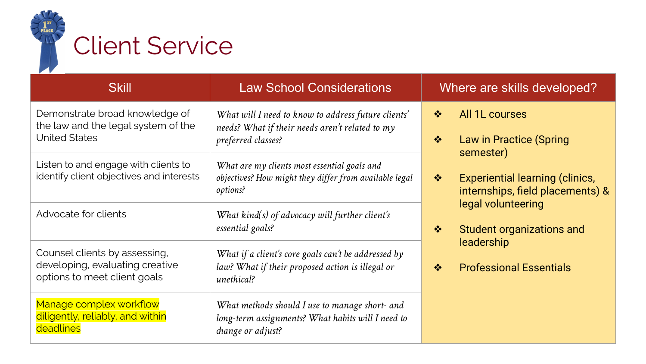

| <b>Skill</b>                                                                                     | <b>Law School Considerations</b>                                                                                         | Where are skills developed?                                                                 |
|--------------------------------------------------------------------------------------------------|--------------------------------------------------------------------------------------------------------------------------|---------------------------------------------------------------------------------------------|
| Demonstrate broad knowledge of<br>the law and the legal system of the                            | What will I need to know to address future clients'<br>needs? What if their needs aren't related to my                   | All 1L courses<br>❖                                                                         |
| <b>United States</b>                                                                             | preferred classes?                                                                                                       | Law in Practice (Spring<br>❖<br>semester)                                                   |
| Listen to and engage with clients to<br>identify client objectives and interests                 | What are my clients most essential goals and<br>objectives? How might they differ from available legal<br>options?       | <b>Experiential learning (clinics,</b><br>$\frac{1}{2}$<br>internships, field placements) & |
| Advocate for clients                                                                             | What $kind(s)$ of advocacy will further client's<br>essential goals?                                                     | legal volunteering<br>Student organizations and<br>❖                                        |
| Counsel clients by assessing,<br>developing, evaluating creative<br>options to meet client goals | What if a client's core goals can't be addressed by<br>law? What if their proposed action is illegal or<br>unethical?    | leadership<br><b>Professional Essentials</b><br>❖                                           |
| Manage complex workflow<br>diligently, reliably, and within<br>deadlines                         | What methods should I use to manage short- and<br>long-term assignments? What habits will I need to<br>change or adjust? |                                                                                             |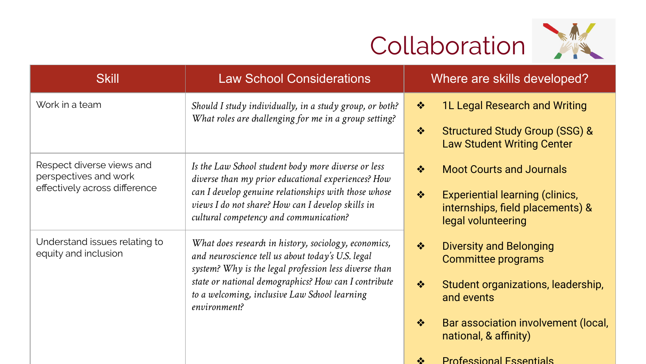

| <b>Skill</b>                                                                        | <b>Law School Considerations</b>                                                                                                                                                                                                                                                            | Where are skills developed?                                                                                                                                                                                                 |
|-------------------------------------------------------------------------------------|---------------------------------------------------------------------------------------------------------------------------------------------------------------------------------------------------------------------------------------------------------------------------------------------|-----------------------------------------------------------------------------------------------------------------------------------------------------------------------------------------------------------------------------|
| Work in a team                                                                      | Should I study individually, in a study group, or both?<br>What roles are challenging for me in a group setting?                                                                                                                                                                            | 1L Legal Research and Writing<br>❖<br><b>Structured Study Group (SSG) &amp;</b><br>❖<br><b>Law Student Writing Center</b>                                                                                                   |
| Respect diverse views and<br>perspectives and work<br>effectively across difference | Is the Law School student body more diverse or less<br>diverse than my prior educational experiences? How<br>can I develop genuine relationships with those whose<br>views I do not share? How can I develop skills in<br>cultural competency and communication?                            | $\frac{1}{2}$<br><b>Moot Courts and Journals</b><br>$\frac{1}{2}$<br><b>Experiential learning (clinics,</b><br>internships, field placements) &<br>legal volunteering                                                       |
| Understand issues relating to<br>equity and inclusion                               | What does research in history, sociology, economics,<br>and neuroscience tell us about today's U.S. legal<br>system? Why is the legal profession less diverse than<br>state or national demographics? How can I contribute<br>to a welcoming, inclusive Law School learning<br>environment? | <b>Diversity and Belonging</b><br>$\frac{1}{2}$<br>Committee programs<br>$\frac{1}{2}$<br>Student organizations, leadership,<br>and events<br>$\frac{1}{2}$<br>Bar association involvement (local,<br>national, & affinity) |

❖ Professional Essentials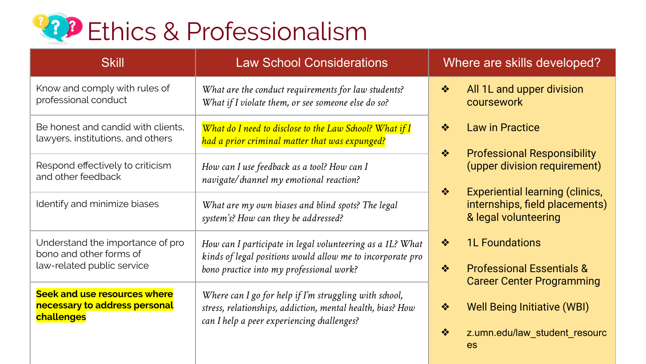

| <b>Skill</b>                                                                | <b>Law School Considerations</b>                                                                                                                                   | Where are skills developed?                                                                                                                                                                                                 |
|-----------------------------------------------------------------------------|--------------------------------------------------------------------------------------------------------------------------------------------------------------------|-----------------------------------------------------------------------------------------------------------------------------------------------------------------------------------------------------------------------------|
| Know and comply with rules of<br>professional conduct                       | What are the conduct requirements for law students?<br>What if I violate them, or see someone else do so?                                                          | All 1L and upper division<br>❖<br>coursework                                                                                                                                                                                |
| Be honest and candid with clients.<br>lawyers, institutions, and others     | What do I need to disclose to the Law School? What if I<br>had a prior criminal matter that was expunged?                                                          | <b>Law in Practice</b><br>❖<br><b>Professional Responsibility</b><br>$\frac{1}{2}$<br>(upper division requirement)<br><b>Experiential learning (clinics,</b><br>❖<br>internships, field placements)<br>& legal volunteering |
| Respond effectively to criticism<br>and other feedback                      | How can I use feedback as a tool? How can I<br>navigate/ channel my emotional reaction?                                                                            |                                                                                                                                                                                                                             |
| Identify and minimize biases                                                | What are my own biases and blind spots? The legal<br>system's? How can they be addressed?                                                                          |                                                                                                                                                                                                                             |
| Understand the importance of pro<br>bono and other forms of                 | How can I participate in legal volunteering as a 1L? What<br>kinds of legal positions would allow me to incorporate pro                                            | <b>1L Foundations</b><br>参                                                                                                                                                                                                  |
| law-related public service                                                  | bono practice into my professional work?                                                                                                                           | <b>Professional Essentials &amp;</b><br>参<br><b>Career Center Programming</b>                                                                                                                                               |
| Seek and use resources where<br>necessary to address personal<br>challenges | Where can I go for help if I'm struggling with school,<br>stress, relationships, addiction, mental health, bias? How<br>can I help a peer experiencing challenges? | <b>Well Being Initiative (WBI)</b><br>$\frac{1}{2}$                                                                                                                                                                         |
|                                                                             |                                                                                                                                                                    | ❖<br>z.umn.edu/law_student_resourc<br>es                                                                                                                                                                                    |